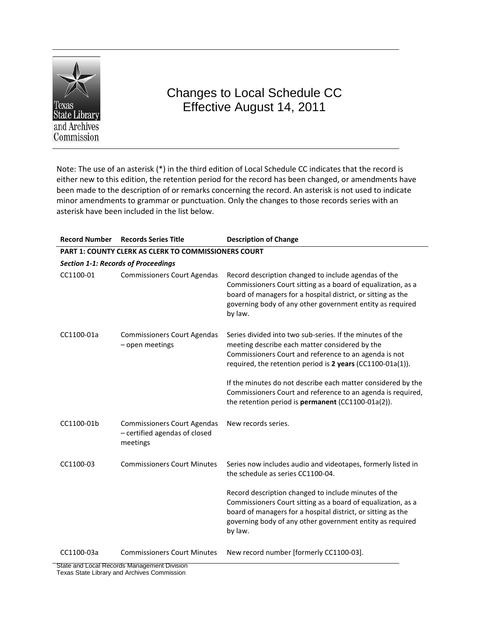

# Changes to Local Schedule CC Effective August 14, 2011

Note: The use of an asterisk (\*) in the third edition of Local Schedule CC indicates that the record is either new to this edition, the retention period for the record has been changed, or amendments have been made to the description of or remarks concerning the record. An asterisk is not used to indicate minor amendments to grammar or punctuation. Only the changes to those records series with an asterisk have been included in the list below.

| <b>Record Number</b>                       | <b>Records Series Title</b>                                                     | <b>Description of Change</b>                                                                                                                                                                                                                                                                                                                                                                                            |  |  |
|--------------------------------------------|---------------------------------------------------------------------------------|-------------------------------------------------------------------------------------------------------------------------------------------------------------------------------------------------------------------------------------------------------------------------------------------------------------------------------------------------------------------------------------------------------------------------|--|--|
|                                            | <b>PART 1: COUNTY CLERK AS CLERK TO COMMISSIONERS COURT</b>                     |                                                                                                                                                                                                                                                                                                                                                                                                                         |  |  |
| <b>Section 1-1: Records of Proceedings</b> |                                                                                 |                                                                                                                                                                                                                                                                                                                                                                                                                         |  |  |
| CC1100-01                                  | <b>Commissioners Court Agendas</b>                                              | Record description changed to include agendas of the<br>Commissioners Court sitting as a board of equalization, as a<br>board of managers for a hospital district, or sitting as the<br>governing body of any other government entity as required<br>by law.                                                                                                                                                            |  |  |
| CC1100-01a                                 | <b>Commissioners Court Agendas</b><br>- open meetings                           | Series divided into two sub-series. If the minutes of the<br>meeting describe each matter considered by the<br>Commissioners Court and reference to an agenda is not<br>required, the retention period is 2 years (CC1100-01a(1)).<br>If the minutes do not describe each matter considered by the<br>Commissioners Court and reference to an agenda is required,<br>the retention period is permanent (CC1100-01a(2)). |  |  |
| CC1100-01b                                 | <b>Commissioners Court Agendas</b><br>- certified agendas of closed<br>meetings | New records series.                                                                                                                                                                                                                                                                                                                                                                                                     |  |  |
| CC1100-03                                  | <b>Commissioners Court Minutes</b>                                              | Series now includes audio and videotapes, formerly listed in<br>the schedule as series CC1100-04.<br>Record description changed to include minutes of the<br>Commissioners Court sitting as a board of equalization, as a                                                                                                                                                                                               |  |  |
|                                            |                                                                                 | board of managers for a hospital district, or sitting as the<br>governing body of any other government entity as required<br>by law.                                                                                                                                                                                                                                                                                    |  |  |
| CC1100-03a                                 | <b>Commissioners Court Minutes</b>                                              | New record number [formerly CC1100-03].                                                                                                                                                                                                                                                                                                                                                                                 |  |  |

State and Local Records Management Division Texas State Library and Archives Commission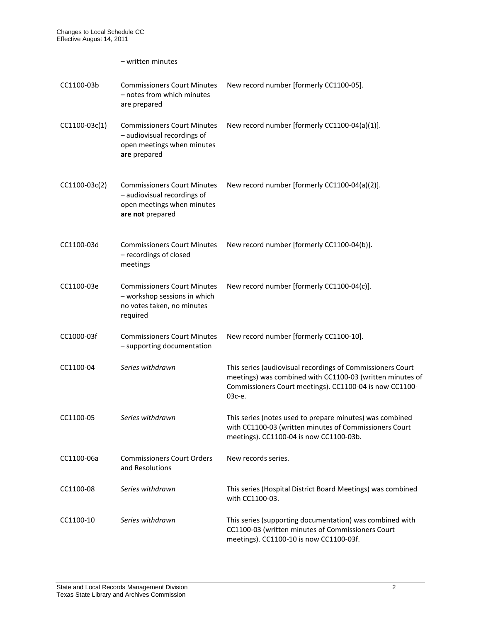– written minutes

| CC1100-03b    | <b>Commissioners Court Minutes</b><br>- notes from which minutes<br>are prepared                                    | New record number [formerly CC1100-05].                                                                                                                                                      |
|---------------|---------------------------------------------------------------------------------------------------------------------|----------------------------------------------------------------------------------------------------------------------------------------------------------------------------------------------|
| CC1100-03c(1) | <b>Commissioners Court Minutes</b><br>- audiovisual recordings of<br>open meetings when minutes<br>are prepared     | New record number [formerly CC1100-04(a)(1)].                                                                                                                                                |
| CC1100-03c(2) | <b>Commissioners Court Minutes</b><br>- audiovisual recordings of<br>open meetings when minutes<br>are not prepared | New record number [formerly CC1100-04(a)(2)].                                                                                                                                                |
| CC1100-03d    | <b>Commissioners Court Minutes</b><br>- recordings of closed<br>meetings                                            | New record number [formerly CC1100-04(b)].                                                                                                                                                   |
| CC1100-03e    | <b>Commissioners Court Minutes</b><br>- workshop sessions in which<br>no votes taken, no minutes<br>required        | New record number [formerly CC1100-04(c)].                                                                                                                                                   |
| CC1000-03f    | <b>Commissioners Court Minutes</b><br>- supporting documentation                                                    | New record number [formerly CC1100-10].                                                                                                                                                      |
| CC1100-04     | Series withdrawn                                                                                                    | This series (audiovisual recordings of Commissioners Court<br>meetings) was combined with CC1100-03 (written minutes of<br>Commissioners Court meetings). CC1100-04 is now CC1100-<br>03с-е. |
| CC1100-05     | Series withdrawn                                                                                                    | This series (notes used to prepare minutes) was combined<br>with CC1100-03 (written minutes of Commissioners Court<br>meetings). CC1100-04 is now CC1100-03b.                                |
| CC1100-06a    | <b>Commissioners Court Orders</b><br>and Resolutions                                                                | New records series.                                                                                                                                                                          |
| CC1100-08     | Series withdrawn                                                                                                    | This series (Hospital District Board Meetings) was combined<br>with CC1100-03.                                                                                                               |
| CC1100-10     | Series withdrawn                                                                                                    | This series (supporting documentation) was combined with<br>CC1100-03 (written minutes of Commissioners Court<br>meetings). CC1100-10 is now CC1100-03f.                                     |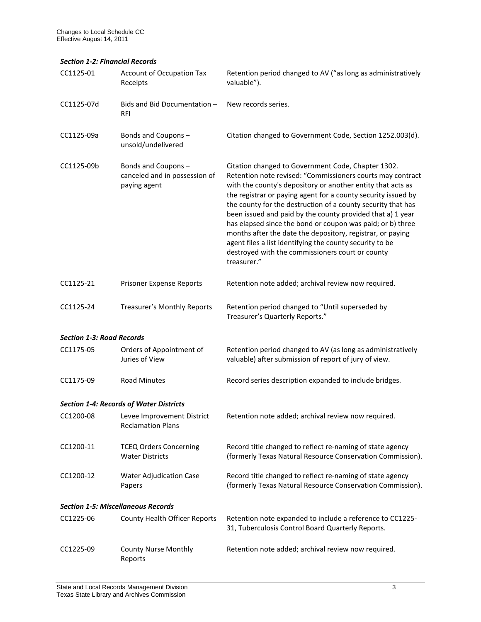#### *Section 1-2: Financial Records*

| CC1125-01                                 | Account of Occupation Tax<br>Receipts                               | Retention period changed to AV ("as long as administratively<br>valuable").                                                                                                                                                                                                                                                                                                                                                                                                                                                                                                                                                               |  |
|-------------------------------------------|---------------------------------------------------------------------|-------------------------------------------------------------------------------------------------------------------------------------------------------------------------------------------------------------------------------------------------------------------------------------------------------------------------------------------------------------------------------------------------------------------------------------------------------------------------------------------------------------------------------------------------------------------------------------------------------------------------------------------|--|
| CC1125-07d                                | Bids and Bid Documentation -<br>RFI                                 | New records series.                                                                                                                                                                                                                                                                                                                                                                                                                                                                                                                                                                                                                       |  |
| CC1125-09a                                | Bonds and Coupons-<br>unsold/undelivered                            | Citation changed to Government Code, Section 1252.003(d).                                                                                                                                                                                                                                                                                                                                                                                                                                                                                                                                                                                 |  |
| CC1125-09b                                | Bonds and Coupons-<br>canceled and in possession of<br>paying agent | Citation changed to Government Code, Chapter 1302.<br>Retention note revised: "Commissioners courts may contract<br>with the county's depository or another entity that acts as<br>the registrar or paying agent for a county security issued by<br>the county for the destruction of a county security that has<br>been issued and paid by the county provided that a) 1 year<br>has elapsed since the bond or coupon was paid; or b) three<br>months after the date the depository, registrar, or paying<br>agent files a list identifying the county security to be<br>destroyed with the commissioners court or county<br>treasurer." |  |
| CC1125-21                                 | Prisoner Expense Reports                                            | Retention note added; archival review now required.                                                                                                                                                                                                                                                                                                                                                                                                                                                                                                                                                                                       |  |
| CC1125-24                                 | Treasurer's Monthly Reports                                         | Retention period changed to "Until superseded by<br>Treasurer's Quarterly Reports."                                                                                                                                                                                                                                                                                                                                                                                                                                                                                                                                                       |  |
| <b>Section 1-3: Road Records</b>          |                                                                     |                                                                                                                                                                                                                                                                                                                                                                                                                                                                                                                                                                                                                                           |  |
| CC1175-05                                 | Orders of Appointment of<br>Juries of View                          | Retention period changed to AV (as long as administratively<br>valuable) after submission of report of jury of view.                                                                                                                                                                                                                                                                                                                                                                                                                                                                                                                      |  |
| CC1175-09                                 | <b>Road Minutes</b>                                                 | Record series description expanded to include bridges.                                                                                                                                                                                                                                                                                                                                                                                                                                                                                                                                                                                    |  |
|                                           | <b>Section 1-4: Records of Water Districts</b>                      |                                                                                                                                                                                                                                                                                                                                                                                                                                                                                                                                                                                                                                           |  |
| CC1200-08                                 | Levee Improvement District<br><b>Reclamation Plans</b>              | Retention note added; archival review now required.                                                                                                                                                                                                                                                                                                                                                                                                                                                                                                                                                                                       |  |
| CC1200-11                                 | <b>TCEQ Orders Concerning</b><br><b>Water Districts</b>             | Record title changed to reflect re-naming of state agency<br>(formerly Texas Natural Resource Conservation Commission).                                                                                                                                                                                                                                                                                                                                                                                                                                                                                                                   |  |
| CC1200-12                                 | <b>Water Adjudication Case</b><br>Papers                            | Record title changed to reflect re-naming of state agency<br>(formerly Texas Natural Resource Conservation Commission).                                                                                                                                                                                                                                                                                                                                                                                                                                                                                                                   |  |
| <b>Section 1-5: Miscellaneous Records</b> |                                                                     |                                                                                                                                                                                                                                                                                                                                                                                                                                                                                                                                                                                                                                           |  |
| CC1225-06                                 | <b>County Health Officer Reports</b>                                | Retention note expanded to include a reference to CC1225-<br>31, Tuberculosis Control Board Quarterly Reports.                                                                                                                                                                                                                                                                                                                                                                                                                                                                                                                            |  |
| CC1225-09                                 | <b>County Nurse Monthly</b><br>Reports                              | Retention note added; archival review now required.                                                                                                                                                                                                                                                                                                                                                                                                                                                                                                                                                                                       |  |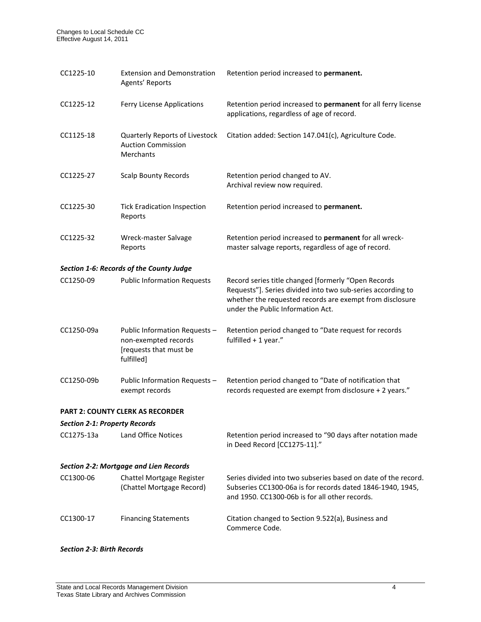| CC1225-10                                     | <b>Extension and Demonstration</b><br>Agents' Reports                                         | Retention period increased to permanent.                                                                                                                                                                            |  |
|-----------------------------------------------|-----------------------------------------------------------------------------------------------|---------------------------------------------------------------------------------------------------------------------------------------------------------------------------------------------------------------------|--|
| CC1225-12                                     | Ferry License Applications                                                                    | Retention period increased to permanent for all ferry license<br>applications, regardless of age of record.                                                                                                         |  |
| CC1125-18                                     | Quarterly Reports of Livestock<br><b>Auction Commission</b><br>Merchants                      | Citation added: Section 147.041(c), Agriculture Code.                                                                                                                                                               |  |
| CC1225-27                                     | <b>Scalp Bounty Records</b>                                                                   | Retention period changed to AV.<br>Archival review now required.                                                                                                                                                    |  |
| CC1225-30                                     | <b>Tick Eradication Inspection</b><br>Reports                                                 | Retention period increased to permanent.                                                                                                                                                                            |  |
| CC1225-32                                     | Wreck-master Salvage<br>Reports                                                               | Retention period increased to permanent for all wreck-<br>master salvage reports, regardless of age of record.                                                                                                      |  |
|                                               | Section 1-6: Records of the County Judge                                                      |                                                                                                                                                                                                                     |  |
| CC1250-09                                     | <b>Public Information Requests</b>                                                            | Record series title changed [formerly "Open Records<br>Requests"]. Series divided into two sub-series according to<br>whether the requested records are exempt from disclosure<br>under the Public Information Act. |  |
| CC1250-09a                                    | Public Information Requests -<br>non-exempted records<br>[requests that must be<br>fulfilled] | Retention period changed to "Date request for records<br>fulfilled $+1$ year."                                                                                                                                      |  |
| CC1250-09b                                    | Public Information Requests -<br>exempt records                                               | Retention period changed to "Date of notification that<br>records requested are exempt from disclosure + 2 years."                                                                                                  |  |
|                                               | <b>PART 2: COUNTY CLERK AS RECORDER</b>                                                       |                                                                                                                                                                                                                     |  |
| <b>Section 2-1: Property Records</b>          |                                                                                               |                                                                                                                                                                                                                     |  |
| CC1275-13a                                    | <b>Land Office Notices</b>                                                                    | Retention period increased to "90 days after notation made<br>in Deed Record [CC1275-11]."                                                                                                                          |  |
| <b>Section 2-2: Mortgage and Lien Records</b> |                                                                                               |                                                                                                                                                                                                                     |  |
| CC1300-06                                     | Chattel Mortgage Register<br>(Chattel Mortgage Record)                                        | Series divided into two subseries based on date of the record.<br>Subseries CC1300-06a is for records dated 1846-1940, 1945,<br>and 1950. CC1300-06b is for all other records.                                      |  |
| CC1300-17                                     | <b>Financing Statements</b>                                                                   | Citation changed to Section 9.522(a), Business and<br>Commerce Code.                                                                                                                                                |  |

### *Section 2-3: Birth Records*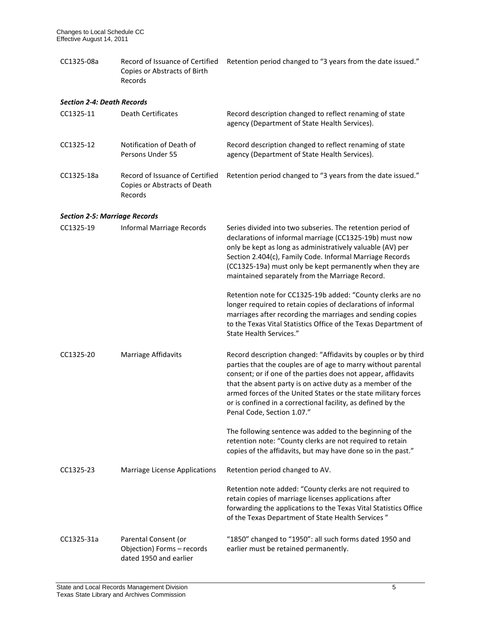CC1325-08a Record of Issuance of Certified Retention period changed to "3 years from the date issued." Copies or Abstracts of Birth Records

## *Section 2-4: Death Records*

| CC1325-11                            | <b>Death Certificates</b>                                                    | Record description changed to reflect renaming of state<br>agency (Department of State Health Services).                                                                                                                                                                                                                                                                                                                       |
|--------------------------------------|------------------------------------------------------------------------------|--------------------------------------------------------------------------------------------------------------------------------------------------------------------------------------------------------------------------------------------------------------------------------------------------------------------------------------------------------------------------------------------------------------------------------|
| CC1325-12                            | Notification of Death of<br>Persons Under 55                                 | Record description changed to reflect renaming of state<br>agency (Department of State Health Services).                                                                                                                                                                                                                                                                                                                       |
| CC1325-18a                           | Record of Issuance of Certified<br>Copies or Abstracts of Death<br>Records   | Retention period changed to "3 years from the date issued."                                                                                                                                                                                                                                                                                                                                                                    |
| <b>Section 2-5: Marriage Records</b> |                                                                              |                                                                                                                                                                                                                                                                                                                                                                                                                                |
| CC1325-19                            | Informal Marriage Records                                                    | Series divided into two subseries. The retention period of<br>declarations of informal marriage (CC1325-19b) must now<br>only be kept as long as administratively valuable (AV) per<br>Section 2.404(c), Family Code. Informal Marriage Records<br>(CC1325-19a) must only be kept permanently when they are<br>maintained separately from the Marriage Record.                                                                 |
|                                      |                                                                              | Retention note for CC1325-19b added: "County clerks are no<br>longer required to retain copies of declarations of informal<br>marriages after recording the marriages and sending copies<br>to the Texas Vital Statistics Office of the Texas Department of<br>State Health Services."                                                                                                                                         |
| CC1325-20                            | Marriage Affidavits                                                          | Record description changed: "Affidavits by couples or by third<br>parties that the couples are of age to marry without parental<br>consent; or if one of the parties does not appear, affidavits<br>that the absent party is on active duty as a member of the<br>armed forces of the United States or the state military forces<br>or is confined in a correctional facility, as defined by the<br>Penal Code, Section 1.07." |
|                                      |                                                                              | The following sentence was added to the beginning of the<br>retention note: "County clerks are not required to retain<br>copies of the affidavits, but may have done so in the past."                                                                                                                                                                                                                                          |
| CC1325-23                            | Marriage License Applications                                                | Retention period changed to AV.                                                                                                                                                                                                                                                                                                                                                                                                |
|                                      |                                                                              | Retention note added: "County clerks are not required to<br>retain copies of marriage licenses applications after<br>forwarding the applications to the Texas Vital Statistics Office<br>of the Texas Department of State Health Services"                                                                                                                                                                                     |
| CC1325-31a                           | Parental Consent (or<br>Objection) Forms - records<br>dated 1950 and earlier | "1850" changed to "1950": all such forms dated 1950 and<br>earlier must be retained permanently.                                                                                                                                                                                                                                                                                                                               |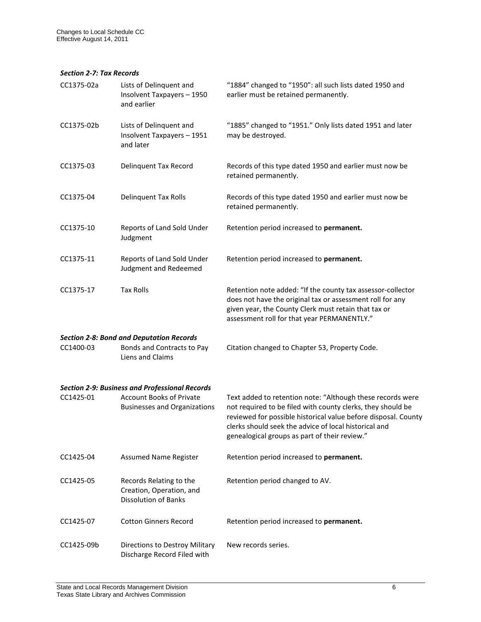#### *Section 2-7: Tax Records*

| CC1375-02a | Lists of Delinquent and<br>Insolvent Taxpayers - 1950<br>and earlier                              | "1884" changed to "1950": all such lists dated 1950 and<br>earlier must be retained permanently.                                                                                                                                                                                                      |
|------------|---------------------------------------------------------------------------------------------------|-------------------------------------------------------------------------------------------------------------------------------------------------------------------------------------------------------------------------------------------------------------------------------------------------------|
| CC1375-02b | Lists of Delinquent and<br>Insolvent Taxpayers - 1951<br>and later                                | "1885" changed to "1951." Only lists dated 1951 and later<br>may be destroyed.                                                                                                                                                                                                                        |
| CC1375-03  | <b>Delinquent Tax Record</b>                                                                      | Records of this type dated 1950 and earlier must now be<br>retained permanently.                                                                                                                                                                                                                      |
| CC1375-04  | <b>Delinquent Tax Rolls</b>                                                                       | Records of this type dated 1950 and earlier must now be<br>retained permanently.                                                                                                                                                                                                                      |
| CC1375-10  | Reports of Land Sold Under<br>Judgment                                                            | Retention period increased to permanent.                                                                                                                                                                                                                                                              |
| CC1375-11  | Reports of Land Sold Under<br>Judgment and Redeemed                                               | Retention period increased to permanent.                                                                                                                                                                                                                                                              |
| CC1375-17  | <b>Tax Rolls</b>                                                                                  | Retention note added: "If the county tax assessor-collector<br>does not have the original tax or assessment roll for any<br>given year, the County Clerk must retain that tax or<br>assessment roll for that year PERMANENTLY."                                                                       |
| CC1400-03  | <b>Section 2-8: Bond and Deputation Records</b><br>Bonds and Contracts to Pay<br>Liens and Claims | Citation changed to Chapter 53, Property Code.                                                                                                                                                                                                                                                        |
|            | <b>Section 2-9: Business and Professional Records</b>                                             |                                                                                                                                                                                                                                                                                                       |
| CC1425-01  | <b>Account Books of Private</b><br><b>Businesses and Organizations</b>                            | Text added to retention note: "Although these records were<br>not required to be filed with county clerks, they should be<br>reviewed for possible historical value before disposal. County<br>clerks should seek the advice of local historical and<br>genealogical groups as part of their review." |
| CC1425-04  | <b>Assumed Name Register</b>                                                                      | Retention period increased to permanent.                                                                                                                                                                                                                                                              |
| CC1425-05  | Records Relating to the<br>Creation, Operation, and<br><b>Dissolution of Banks</b>                | Retention period changed to AV.                                                                                                                                                                                                                                                                       |
| CC1425-07  | <b>Cotton Ginners Record</b>                                                                      | Retention period increased to permanent.                                                                                                                                                                                                                                                              |
| CC1425-09b | Directions to Destroy Military<br>Discharge Record Filed with                                     | New records series.                                                                                                                                                                                                                                                                                   |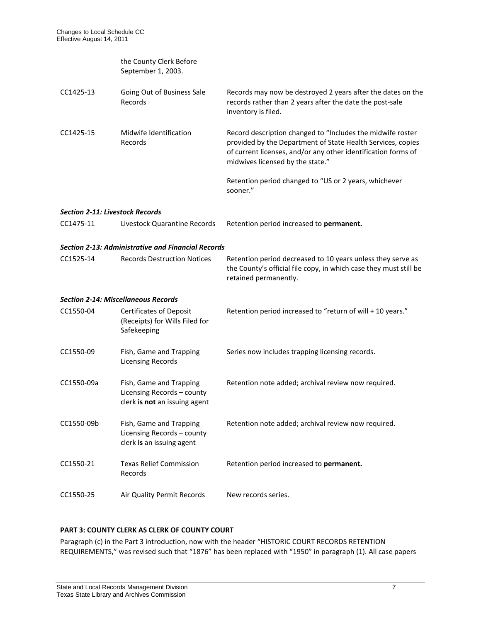|                                        | the County Clerk Before<br>September 1, 2003.                                          |                                                                                                                                                                                                                                |
|----------------------------------------|----------------------------------------------------------------------------------------|--------------------------------------------------------------------------------------------------------------------------------------------------------------------------------------------------------------------------------|
| CC1425-13                              | Going Out of Business Sale<br>Records                                                  | Records may now be destroyed 2 years after the dates on the<br>records rather than 2 years after the date the post-sale<br>inventory is filed.                                                                                 |
| CC1425-15                              | Midwife Identification<br>Records                                                      | Record description changed to "Includes the midwife roster<br>provided by the Department of State Health Services, copies<br>of current licenses, and/or any other identification forms of<br>midwives licensed by the state." |
|                                        |                                                                                        | Retention period changed to "US or 2 years, whichever<br>sooner."                                                                                                                                                              |
| <b>Section 2-11: Livestock Records</b> |                                                                                        |                                                                                                                                                                                                                                |
| CC1475-11                              | Livestock Quarantine Records                                                           | Retention period increased to permanent.                                                                                                                                                                                       |
|                                        | <b>Section 2-13: Administrative and Financial Records</b>                              |                                                                                                                                                                                                                                |
| CC1525-14                              | <b>Records Destruction Notices</b>                                                     | Retention period decreased to 10 years unless they serve as<br>the County's official file copy, in which case they must still be<br>retained permanently.                                                                      |
|                                        | <b>Section 2-14: Miscellaneous Records</b>                                             |                                                                                                                                                                                                                                |
| CC1550-04                              | <b>Certificates of Deposit</b><br>(Receipts) for Wills Filed for<br>Safekeeping        | Retention period increased to "return of will + 10 years."                                                                                                                                                                     |
| CC1550-09                              | Fish, Game and Trapping<br><b>Licensing Records</b>                                    | Series now includes trapping licensing records.                                                                                                                                                                                |
| CC1550-09a                             | Fish, Game and Trapping<br>Licensing Records - county<br>clerk is not an issuing agent | Retention note added; archival review now required.                                                                                                                                                                            |
| CC1550-09b                             | Fish, Game and Trapping<br>Licensing Records - county<br>clerk is an issuing agent     | Retention note added; archival review now required.                                                                                                                                                                            |
| CC1550-21                              | <b>Texas Relief Commission</b><br>Records                                              | Retention period increased to permanent.                                                                                                                                                                                       |
| CC1550-25                              | Air Quality Permit Records                                                             | New records series.                                                                                                                                                                                                            |

# **PART 3: COUNTY CLERK AS CLERK OF COUNTY COURT**

Paragraph (c) in the Part 3 introduction, now with the header "HISTORIC COURT RECORDS RETENTION REQUIREMENTS," was revised such that "1876" has been replaced with "1950" in paragraph (1). All case papers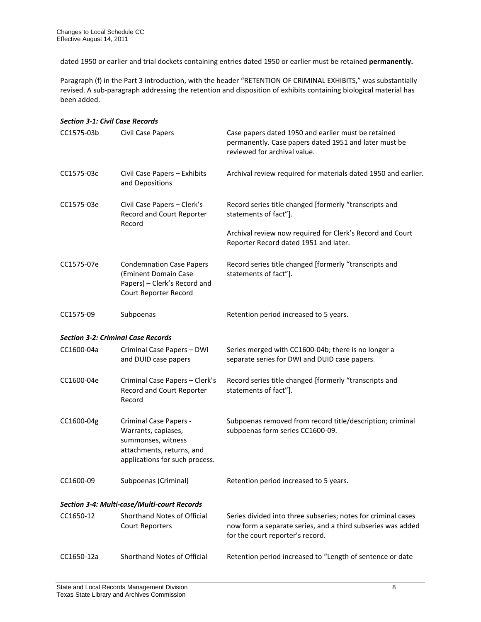dated 1950 or earlier and trial dockets containing entries dated 1950 or earlier must be retained **permanently.** 

Paragraph (f) in the Part 3 introduction, with the header "RETENTION OF CRIMINAL EXHIBITS," was substantially revised. A sub-paragraph addressing the retention and disposition of exhibits containing biological material has been added.

| <b>Section 3-1: Civil Case Records</b>      |                                                                                                                                    |                                                                                                                                                                  |
|---------------------------------------------|------------------------------------------------------------------------------------------------------------------------------------|------------------------------------------------------------------------------------------------------------------------------------------------------------------|
| CC1575-03b                                  | Civil Case Papers                                                                                                                  | Case papers dated 1950 and earlier must be retained<br>permanently. Case papers dated 1951 and later must be<br>reviewed for archival value.                     |
| CC1575-03c                                  | Civil Case Papers - Exhibits<br>and Depositions                                                                                    | Archival review required for materials dated 1950 and earlier.                                                                                                   |
| CC1575-03e                                  | Civil Case Papers - Clerk's<br>Record and Court Reporter<br>Record                                                                 | Record series title changed [formerly "transcripts and<br>statements of fact"].                                                                                  |
|                                             |                                                                                                                                    | Archival review now required for Clerk's Record and Court<br>Reporter Record dated 1951 and later.                                                               |
| CC1575-07e                                  | <b>Condemnation Case Papers</b><br>(Eminent Domain Case<br>Papers) - Clerk's Record and<br>Court Reporter Record                   | Record series title changed [formerly "transcripts and<br>statements of fact"].                                                                                  |
| CC1575-09                                   | Subpoenas                                                                                                                          | Retention period increased to 5 years.                                                                                                                           |
| <b>Section 3-2: Criminal Case Records</b>   |                                                                                                                                    |                                                                                                                                                                  |
| CC1600-04a                                  | Criminal Case Papers - DWI<br>and DUID case papers                                                                                 | Series merged with CC1600-04b; there is no longer a<br>separate series for DWI and DUID case papers.                                                             |
| CC1600-04e                                  | Criminal Case Papers - Clerk's<br>Record and Court Reporter<br>Record                                                              | Record series title changed [formerly "transcripts and<br>statements of fact"].                                                                                  |
| CC1600-04g                                  | Criminal Case Papers -<br>Warrants, capiases,<br>summonses, witness<br>attachments, returns, and<br>applications for such process. | Subpoenas removed from record title/description; criminal<br>subpoenas form series CC1600-09.                                                                    |
| CC1600-09                                   | Subpoenas (Criminal)                                                                                                               | Retention period increased to 5 years.                                                                                                                           |
| Section 3-4: Multi-case/Multi-court Records |                                                                                                                                    |                                                                                                                                                                  |
| CC1650-12                                   | <b>Shorthand Notes of Official</b><br><b>Court Reporters</b>                                                                       | Series divided into three subseries; notes for criminal cases<br>now form a separate series, and a third subseries was added<br>for the court reporter's record. |
| CC1650-12a                                  | Shorthand Notes of Official                                                                                                        | Retention period increased to "Length of sentence or date                                                                                                        |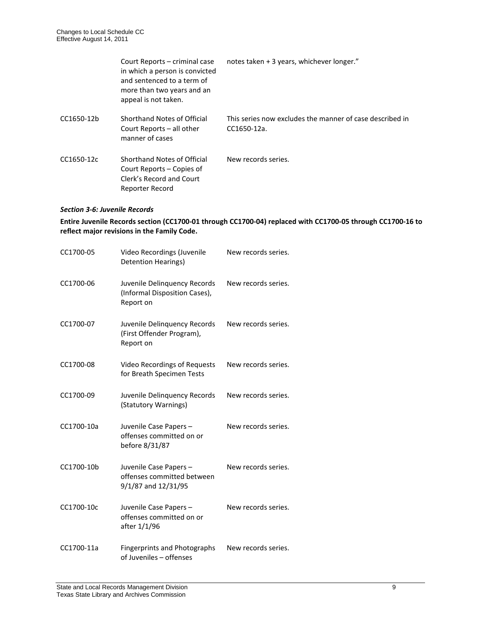|            | Court Reports – criminal case<br>in which a person is convicted<br>and sentenced to a term of<br>more than two years and an<br>appeal is not taken. | notes taken + 3 years, whichever longer."                               |
|------------|-----------------------------------------------------------------------------------------------------------------------------------------------------|-------------------------------------------------------------------------|
| CC1650-12b | Shorthand Notes of Official<br>Court Reports – all other<br>manner of cases                                                                         | This series now excludes the manner of case described in<br>CC1650-12a. |
| CC1650-12c | Shorthand Notes of Official<br>Court Reports – Copies of<br>Clerk's Record and Court<br>Reporter Record                                             | New records series.                                                     |

#### *Section 3-6: Juvenile Records*

# **Entire Juvenile Records section (CC1700-01 through CC1700-04) replaced with CC1700-05 through CC1700-16 to reflect major revisions in the Family Code.**

| CC1700-05  | Video Recordings (Juvenile<br><b>Detention Hearings)</b>                   | New records series. |
|------------|----------------------------------------------------------------------------|---------------------|
| CC1700-06  | Juvenile Delinquency Records<br>(Informal Disposition Cases),<br>Report on | New records series. |
| CC1700-07  | Juvenile Delinquency Records<br>(First Offender Program),<br>Report on     | New records series. |
| CC1700-08  | <b>Video Recordings of Requests</b><br>for Breath Specimen Tests           | New records series. |
| CC1700-09  | Juvenile Delinquency Records<br>(Statutory Warnings)                       | New records series. |
| CC1700-10a | Juvenile Case Papers -<br>offenses committed on or<br>before 8/31/87       | New records series. |
| CC1700-10b | Juvenile Case Papers-<br>offenses committed between<br>9/1/87 and 12/31/95 | New records series. |
| CC1700-10c | Juvenile Case Papers-<br>offenses committed on or<br>after 1/1/96          | New records series. |
| CC1700-11a | <b>Fingerprints and Photographs</b><br>of Juveniles - offenses             | New records series. |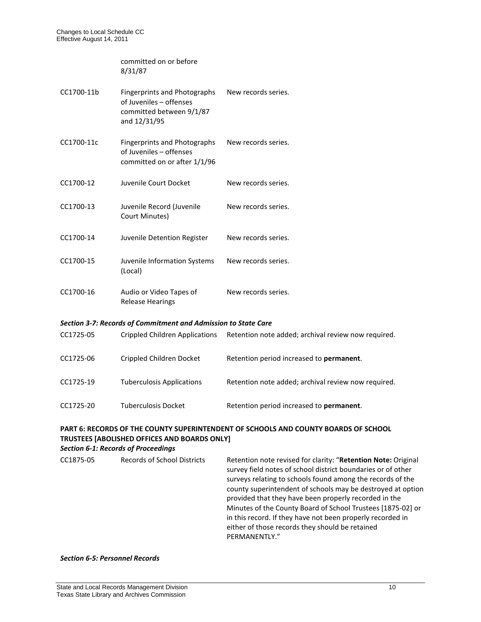committed on or before 8/31/87

| CC1700-11b | <b>Fingerprints and Photographs</b><br>of Juveniles - offenses<br>committed between 9/1/87<br>and 12/31/95 | New records series. |
|------------|------------------------------------------------------------------------------------------------------------|---------------------|
| CC1700-11c | <b>Fingerprints and Photographs</b><br>of Juveniles - offenses<br>committed on or after 1/1/96             | New records series. |
| CC1700-12  | Juvenile Court Docket                                                                                      | New records series. |
| CC1700-13  | Juvenile Record (Juvenile<br>Court Minutes)                                                                | New records series. |
| CC1700-14  | Juvenile Detention Register                                                                                | New records series. |
| CC1700-15  | Juvenile Information Systems<br>(Local)                                                                    | New records series. |
| CC1700-16  | Audio or Video Tapes of<br>Release Hearings                                                                | New records series. |

#### *Section 3-7: Records of Commitment and Admission to State Care*

| CC1725-05 | Crippled Children Applications   | Retention note added; archival review now required. |
|-----------|----------------------------------|-----------------------------------------------------|
| CC1725-06 | Crippled Children Docket         | Retention period increased to <b>permanent</b> .    |
| CC1725-19 | <b>Tuberculosis Applications</b> | Retention note added; archival review now required. |
| CC1725-20 | <b>Tuberculosis Docket</b>       | Retention period increased to permanent.            |

# **PART 6: RECORDS OF THE COUNTY SUPERINTENDENT OF SCHOOLS AND COUNTY BOARDS OF SCHOOL TRUSTEES [ABOLISHED OFFICES AND BOARDS ONLY]**

# *Section 6-1: Records of Proceedings*

| <b>Records of School Districts</b><br>CC1875-05 | Retention note revised for clarity: "Retention Note: Original<br>survey field notes of school district boundaries or of other<br>surveys relating to schools found among the records of the<br>county superintendent of schools may be destroyed at option<br>provided that they have been properly recorded in the<br>Minutes of the County Board of School Trustees [1875-02] or<br>in this record. If they have not been properly recorded in<br>either of those records they should be retained<br>PERMANENTLY." |
|-------------------------------------------------|----------------------------------------------------------------------------------------------------------------------------------------------------------------------------------------------------------------------------------------------------------------------------------------------------------------------------------------------------------------------------------------------------------------------------------------------------------------------------------------------------------------------|
|-------------------------------------------------|----------------------------------------------------------------------------------------------------------------------------------------------------------------------------------------------------------------------------------------------------------------------------------------------------------------------------------------------------------------------------------------------------------------------------------------------------------------------------------------------------------------------|

# *Section 6-5: Personnel Records*